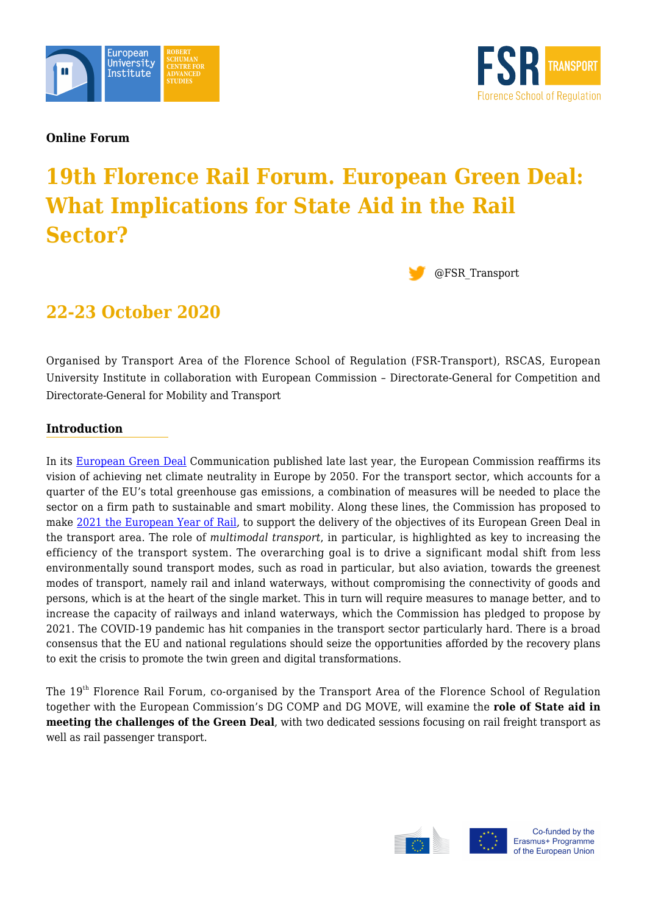



**Online Forum**

# **19th Florence Rail Forum. European Green Deal: What Implications for State Aid in the Rail Sector?**



# **22-23 October 2020**

Organised by Transport Area of the Florence School of Regulation (FSR-Transport), RSCAS, European University Institute in collaboration with European Commission – Directorate-General for Competition and Directorate-General for Mobility and Transport

### **Introduction**

In its [European Green Deal](https://ec.europa.eu/info/sites/info/files/european-green-deal-communication_en.pdf) Communication published late last year, the European Commission reaffirms its vision of achieving net climate neutrality in Europe by 2050. For the transport sector, which accounts for a quarter of the EU's total greenhouse gas emissions, a combination of measures will be needed to place the sector on a firm path to sustainable and smart mobility. Along these lines, the Commission has proposed to make [2021 the European Year of Rail,](https://ec.europa.eu/commission/presscorner/api/files/attachment/862958/european-year-of-rail_en.pdf.pdf) to support the delivery of the objectives of its European Green Deal in the transport area. The role of *multimodal transport*, in particular, is highlighted as key to increasing the efficiency of the transport system. The overarching goal is to drive a significant modal shift from less environmentally sound transport modes, such as road in particular, but also aviation, towards the greenest modes of transport, namely rail and inland waterways, without compromising the connectivity of goods and persons, which is at the heart of the single market. This in turn will require measures to manage better, and to increase the capacity of railways and inland waterways, which the Commission has pledged to propose by 2021. The COVID-19 pandemic has hit companies in the transport sector particularly hard. There is a broad consensus that the EU and national regulations should seize the opportunities afforded by the recovery plans to exit the crisis to promote the twin green and digital transformations.

The 19th Florence Rail Forum, co-organised by the Transport Area of the Florence School of Regulation together with the European Commission's DG COMP and DG MOVE, will examine the **role of State aid in meeting the challenges of the Green Deal**, with two dedicated sessions focusing on rail freight transport as well as rail passenger transport.





Co-funded by the Erasmus+ Programme of the European Union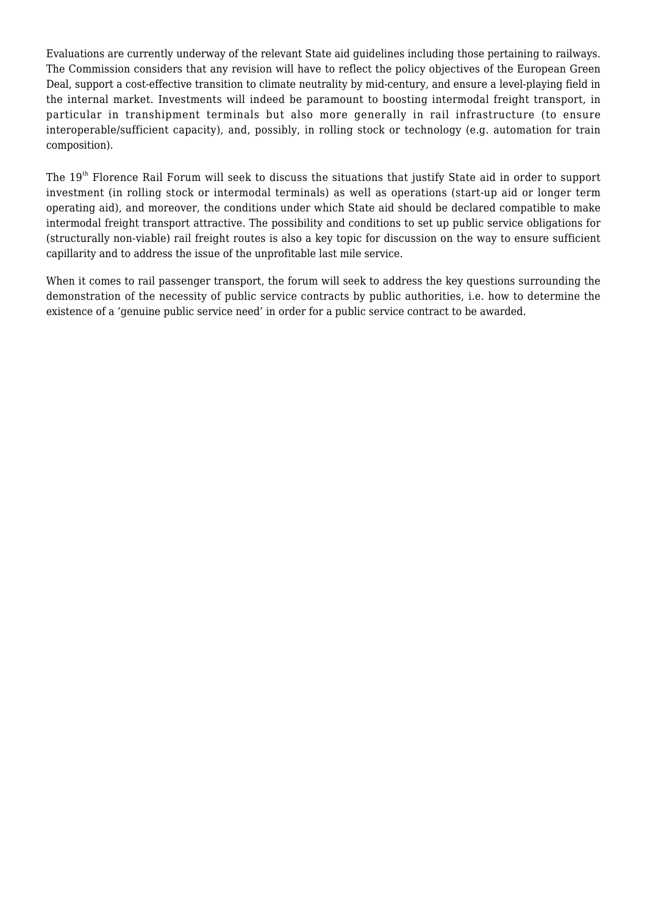Evaluations are currently underway of the relevant State aid guidelines including those pertaining to railways. The Commission considers that any revision will have to reflect the policy objectives of the European Green Deal, support a cost-effective transition to climate neutrality by mid-century, and ensure a level-playing field in the internal market. Investments will indeed be paramount to boosting intermodal freight transport, in particular in transhipment terminals but also more generally in rail infrastructure (to ensure interoperable/sufficient capacity), and, possibly, in rolling stock or technology (e.g. automation for train composition).

The 19<sup>th</sup> Florence Rail Forum will seek to discuss the situations that justify State aid in order to support investment (in rolling stock or intermodal terminals) as well as operations (start-up aid or longer term operating aid), and moreover, the conditions under which State aid should be declared compatible to make intermodal freight transport attractive. The possibility and conditions to set up public service obligations for (structurally non-viable) rail freight routes is also a key topic for discussion on the way to ensure sufficient capillarity and to address the issue of the unprofitable last mile service.

When it comes to rail passenger transport, the forum will seek to address the key questions surrounding the demonstration of the necessity of public service contracts by public authorities, i.e. how to determine the existence of a 'genuine public service need' in order for a public service contract to be awarded.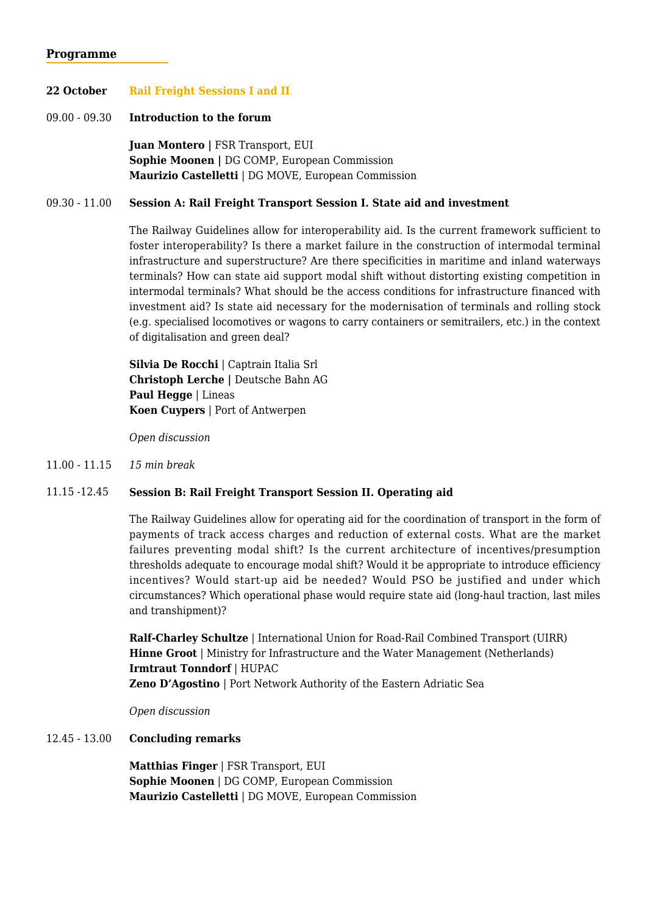#### **Programme**

#### **22 October Rail Freight Sessions I and II**

#### 09.00 - 09.30 **Introduction to the forum**

**Juan Montero |** FSR Transport, EUI **Sophie Moonen |** DG COMP, European Commission **Maurizio Castelletti** | DG MOVE, European Commission

#### 09.30 - 11.00 **Session A: Rail Freight Transport Session I. State aid and investment**

The Railway Guidelines allow for interoperability aid. Is the current framework sufficient to foster interoperability? Is there a market failure in the construction of intermodal terminal infrastructure and superstructure? Are there specificities in maritime and inland waterways terminals? How can state aid support modal shift without distorting existing competition in intermodal terminals? What should be the access conditions for infrastructure financed with investment aid? Is state aid necessary for the modernisation of terminals and rolling stock (e.g. specialised locomotives or wagons to carry containers or semitrailers, etc.) in the context of digitalisation and green deal?

**Silvia De Rocchi** | Captrain Italia Srl **Christoph Lerche |** Deutsche Bahn AG **Paul Hegge** | Lineas **Koen Cuypers** | Port of Antwerpen

*Open discussion*

11.00 - 11.15 *15 min break*

#### 11.15 -12.45 **Session B: Rail Freight Transport Session II. Operating aid**

The Railway Guidelines allow for operating aid for the coordination of transport in the form of payments of track access charges and reduction of external costs. What are the market failures preventing modal shift? Is the current architecture of incentives/presumption thresholds adequate to encourage modal shift? Would it be appropriate to introduce efficiency incentives? Would start-up aid be needed? Would PSO be justified and under which circumstances? Which operational phase would require state aid (long-haul traction, last miles and transhipment)?

**Ralf-Charley Schultze** | International Union for Road-Rail Combined Transport (UIRR) **Hinne Groot** | Ministry for Infrastructure and the Water Management (Netherlands) **Irmtraut Tonndorf** | HUPAC **Zeno D'Agostino** | Port Network Authority of the Eastern Adriatic Sea

*Open discussion*

#### 12.45 - 13.00 **Concluding remarks**

**Matthias Finger** | FSR Transport, EUI **Sophie Moonen** | DG COMP, European Commission **Maurizio Castelletti** | DG MOVE, European Commission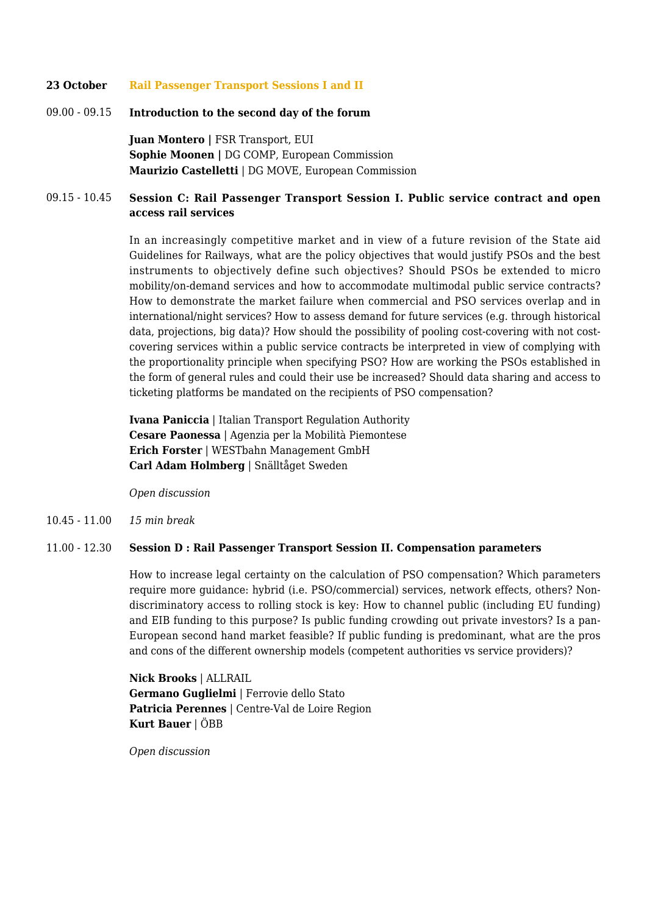#### **23 October Rail Passenger Transport Sessions I and II**

09.00 - 09.15 **Introduction to the second day of the forum**

**Juan Montero |** FSR Transport, EUI **Sophie Moonen |** DG COMP, European Commission **Maurizio Castelletti** | DG MOVE, European Commission

#### 09.15 - 10.45 **Session C: Rail Passenger Transport Session I. Public service contract and open access rail services**

In an increasingly competitive market and in view of a future revision of the State aid Guidelines for Railways, what are the policy objectives that would justify PSOs and the best instruments to objectively define such objectives? Should PSOs be extended to micro mobility/on-demand services and how to accommodate multimodal public service contracts? How to demonstrate the market failure when commercial and PSO services overlap and in international/night services? How to assess demand for future services (e.g. through historical data, projections, big data)? How should the possibility of pooling cost-covering with not costcovering services within a public service contracts be interpreted in view of complying with the proportionality principle when specifying PSO? How are working the PSOs established in the form of general rules and could their use be increased? Should data sharing and access to ticketing platforms be mandated on the recipients of PSO compensation?

**Ivana Paniccia** | Italian Transport Regulation Authority **Cesare Paonessa** | Agenzia per la Mobilità Piemontese **Erich Forster** | WESTbahn Management GmbH **Carl Adam Holmberg** | Snälltåget Sweden

*Open discussion*

10.45 - 11.00 *15 min break*

#### 11.00 - 12.30 **Session D : Rail Passenger Transport Session II. Compensation parameters**

How to increase legal certainty on the calculation of PSO compensation? Which parameters require more guidance: hybrid (i.e. PSO/commercial) services, network effects, others? Nondiscriminatory access to rolling stock is key: How to channel public (including EU funding) and EIB funding to this purpose? Is public funding crowding out private investors? Is a pan-European second hand market feasible? If public funding is predominant, what are the pros and cons of the different ownership models (competent authorities vs service providers)?

**Nick Brooks** | ALLRAIL **Germano Guglielmi** | Ferrovie dello Stato **Patricia Perennes** | Centre-Val de Loire Region **Kurt Bauer** *|* ÖBB

*Open discussion*